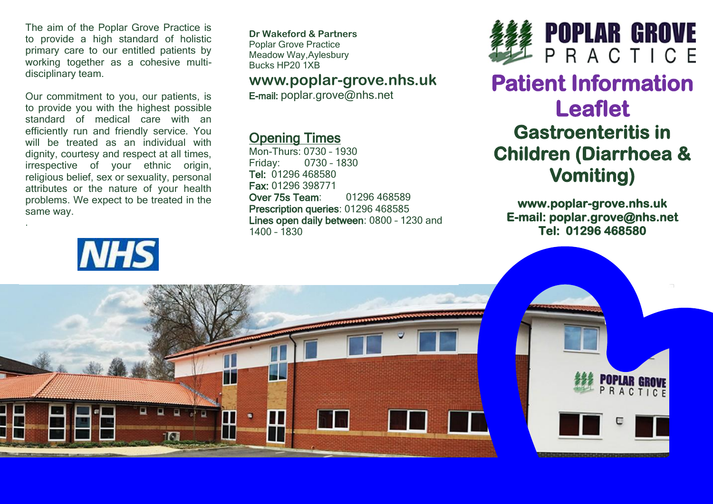The aim of the Poplar Grove Practice is to provide a high standard of holistic primary care to our entitled patients by working together as a cohesive multidisciplinary team.

Our commitment to you, our patients, is to provide you with the highest possible standard of medical care with an efficiently run and friendly service. You will be treated as an individual with dignity, courtesy and respect at all times, irrespective of your ethnic origin, religious belief, sex or sexuality, personal attributes or the nature of your health problems. We expect to be treated in the same way.



.

**Dr Wakeford & Partners** Poplar Grove Practice Meadow Way,Aylesbury Bucks HP20 1XB

### **www.poplar-grove.nhs.uk**

E-mail: [poplar.grove@nhs.net](mailto:poplar.grove@nhs.net)

## Opening Times

Mon-Thurs: 0730 – 1930 Friday: 0730 – 1830 Tel: 01296 468580 Fax: 01296 398771 Over 75s Team: 01296 468589 Prescription queries: 01296 468585 Lines open daily between: 0800 – 1230 and 1400 – 1830



# **Patient Information Leaflet Gastroenteritis in Children (Diarrhoea & Vomiting)**

**www.poplar-grove.nhs.uk E-mail: poplar.grove@nhs.net Tel: 01296 468580**